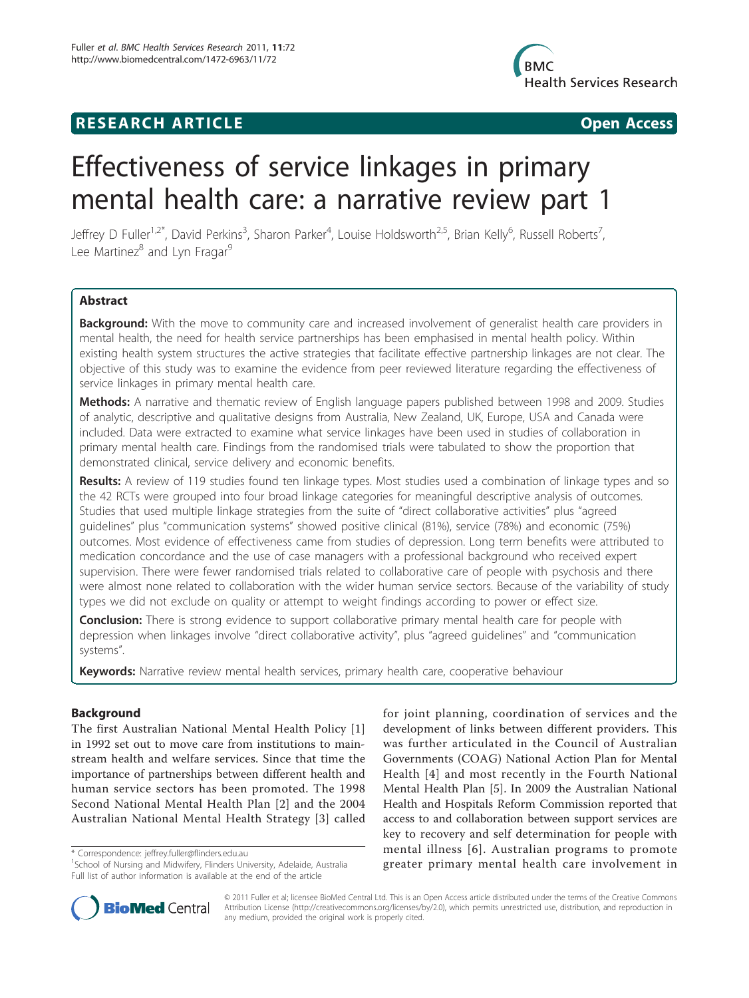# **RESEARCH ARTICLE Example 2008 CONSIDERING CONSIDERING CONSIDERING CONSIDERING CONSIDERING CONSIDERING CONSIDERING CONSIDERING CONSIDERING CONSIDERING CONSIDERING CONSIDERING CONSIDERING CONSIDERING CONSIDERING CONSIDE**



# Effectiveness of service linkages in primary mental health care: a narrative review part 1

Jeffrey D Fuller<sup>1,2\*</sup>, David Perkins<sup>3</sup>, Sharon Parker<sup>4</sup>, Louise Holdsworth<sup>2,5</sup>, Brian Kelly<sup>6</sup>, Russell Roberts<sup>7</sup> , Lee Martinez<sup>8</sup> and Lyn Fragar<sup>9</sup>

# Abstract

Background: With the move to community care and increased involvement of generalist health care providers in mental health, the need for health service partnerships has been emphasised in mental health policy. Within existing health system structures the active strategies that facilitate effective partnership linkages are not clear. The objective of this study was to examine the evidence from peer reviewed literature regarding the effectiveness of service linkages in primary mental health care.

Methods: A narrative and thematic review of English language papers published between 1998 and 2009. Studies of analytic, descriptive and qualitative designs from Australia, New Zealand, UK, Europe, USA and Canada were included. Data were extracted to examine what service linkages have been used in studies of collaboration in primary mental health care. Findings from the randomised trials were tabulated to show the proportion that demonstrated clinical, service delivery and economic benefits.

Results: A review of 119 studies found ten linkage types. Most studies used a combination of linkage types and so the 42 RCTs were grouped into four broad linkage categories for meaningful descriptive analysis of outcomes. Studies that used multiple linkage strategies from the suite of "direct collaborative activities" plus "agreed guidelines" plus "communication systems" showed positive clinical (81%), service (78%) and economic (75%) outcomes. Most evidence of effectiveness came from studies of depression. Long term benefits were attributed to medication concordance and the use of case managers with a professional background who received expert supervision. There were fewer randomised trials related to collaborative care of people with psychosis and there were almost none related to collaboration with the wider human service sectors. Because of the variability of study types we did not exclude on quality or attempt to weight findings according to power or effect size.

**Conclusion:** There is strong evidence to support collaborative primary mental health care for people with depression when linkages involve "direct collaborative activity", plus "agreed guidelines" and "communication systems".

Keywords: Narrative review mental health services, primary health care, cooperative behaviour

# Background

The first Australian National Mental Health Policy [\[1](#page-8-0)] in 1992 set out to move care from institutions to mainstream health and welfare services. Since that time the importance of partnerships between different health and human service sectors has been promoted. The 1998 Second National Mental Health Plan [\[2](#page-8-0)] and the 2004 Australian National Mental Health Strategy [[3\]](#page-8-0) called for joint planning, coordination of services and the development of links between different providers. This was further articulated in the Council of Australian Governments (COAG) National Action Plan for Mental Health [\[4\]](#page-8-0) and most recently in the Fourth National Mental Health Plan [[5](#page-8-0)]. In 2009 the Australian National Health and Hospitals Reform Commission reported that access to and collaboration between support services are key to recovery and self determination for people with mental illness [[6\]](#page-8-0). Australian programs to promote greater primary mental health care involvement in



© 2011 Fuller et al; licensee BioMed Central Ltd. This is an Open Access article distributed under the terms of the Creative Commons Attribution License [\(http://creativecommons.org/licenses/by/2.0](http://creativecommons.org/licenses/by/2.0)), which permits unrestricted use, distribution, and reproduction in any medium, provided the original work is properly cited.

<sup>\*</sup> Correspondence: [jeffrey.fuller@flinders.edu.au](mailto:jeffrey.fuller@flinders.edu.au)

<sup>&</sup>lt;sup>1</sup>School of Nursing and Midwifery, Flinders University, Adelaide, Australia Full list of author information is available at the end of the article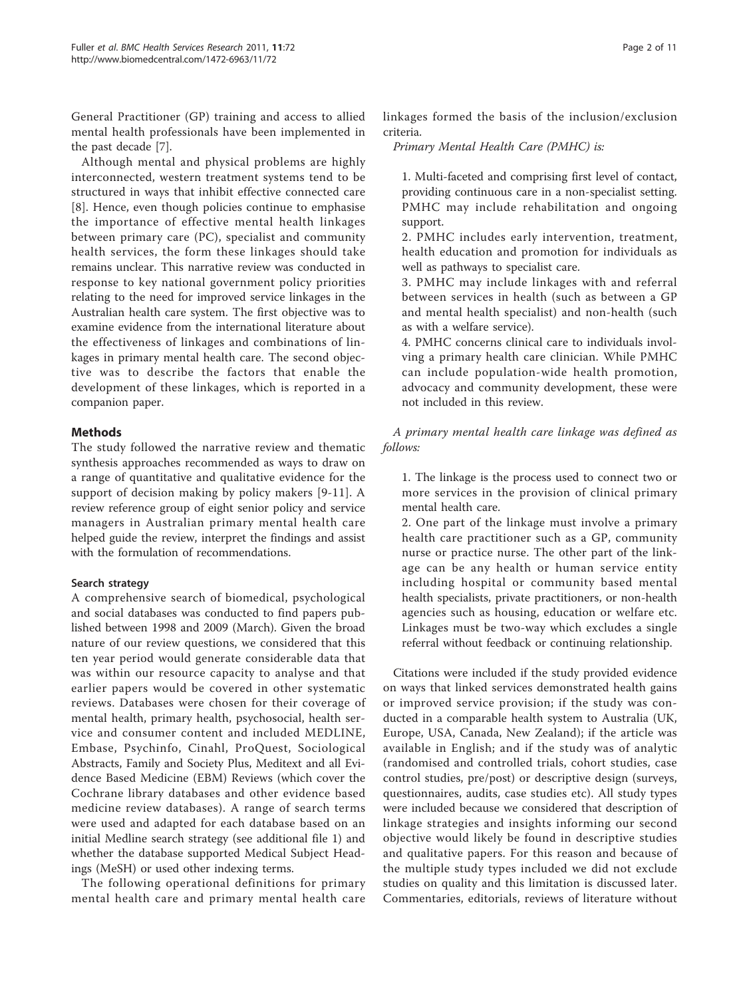General Practitioner (GP) training and access to allied mental health professionals have been implemented in the past decade [[7\]](#page-8-0).

Although mental and physical problems are highly interconnected, western treatment systems tend to be structured in ways that inhibit effective connected care [[8\]](#page-8-0). Hence, even though policies continue to emphasise the importance of effective mental health linkages between primary care (PC), specialist and community health services, the form these linkages should take remains unclear. This narrative review was conducted in response to key national government policy priorities relating to the need for improved service linkages in the Australian health care system. The first objective was to examine evidence from the international literature about the effectiveness of linkages and combinations of linkages in primary mental health care. The second objective was to describe the factors that enable the development of these linkages, which is reported in a companion paper.

# Methods

The study followed the narrative review and thematic synthesis approaches recommended as ways to draw on a range of quantitative and qualitative evidence for the support of decision making by policy makers [[9-11\]](#page-8-0). A review reference group of eight senior policy and service managers in Australian primary mental health care helped guide the review, interpret the findings and assist with the formulation of recommendations.

# Search strategy

A comprehensive search of biomedical, psychological and social databases was conducted to find papers published between 1998 and 2009 (March). Given the broad nature of our review questions, we considered that this ten year period would generate considerable data that was within our resource capacity to analyse and that earlier papers would be covered in other systematic reviews. Databases were chosen for their coverage of mental health, primary health, psychosocial, health service and consumer content and included MEDLINE, Embase, Psychinfo, Cinahl, ProQuest, Sociological Abstracts, Family and Society Plus, Meditext and all Evidence Based Medicine (EBM) Reviews (which cover the Cochrane library databases and other evidence based medicine review databases). A range of search terms were used and adapted for each database based on an initial Medline search strategy (see additional file [1\)](#page-8-0) and whether the database supported Medical Subject Headings (MeSH) or used other indexing terms.

The following operational definitions for primary mental health care and primary mental health care linkages formed the basis of the inclusion/exclusion criteria.

Primary Mental Health Care (PMHC) is:

1. Multi-faceted and comprising first level of contact, providing continuous care in a non-specialist setting. PMHC may include rehabilitation and ongoing support.

2. PMHC includes early intervention, treatment, health education and promotion for individuals as well as pathways to specialist care.

3. PMHC may include linkages with and referral between services in health (such as between a GP and mental health specialist) and non-health (such as with a welfare service).

4. PMHC concerns clinical care to individuals involving a primary health care clinician. While PMHC can include population-wide health promotion, advocacy and community development, these were not included in this review.

A primary mental health care linkage was defined as follows:

1. The linkage is the process used to connect two or more services in the provision of clinical primary mental health care.

2. One part of the linkage must involve a primary health care practitioner such as a GP, community nurse or practice nurse. The other part of the linkage can be any health or human service entity including hospital or community based mental health specialists, private practitioners, or non-health agencies such as housing, education or welfare etc. Linkages must be two-way which excludes a single referral without feedback or continuing relationship.

Citations were included if the study provided evidence on ways that linked services demonstrated health gains or improved service provision; if the study was conducted in a comparable health system to Australia (UK, Europe, USA, Canada, New Zealand); if the article was available in English; and if the study was of analytic (randomised and controlled trials, cohort studies, case control studies, pre/post) or descriptive design (surveys, questionnaires, audits, case studies etc). All study types were included because we considered that description of linkage strategies and insights informing our second objective would likely be found in descriptive studies and qualitative papers. For this reason and because of the multiple study types included we did not exclude studies on quality and this limitation is discussed later. Commentaries, editorials, reviews of literature without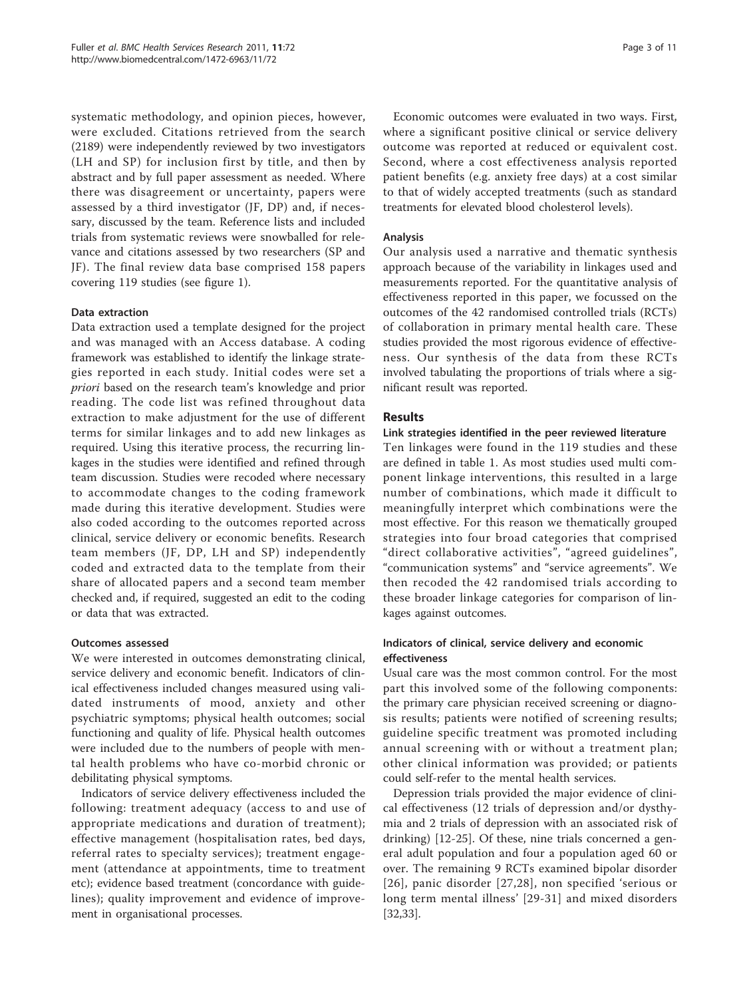systematic methodology, and opinion pieces, however, were excluded. Citations retrieved from the search (2189) were independently reviewed by two investigators (LH and SP) for inclusion first by title, and then by abstract and by full paper assessment as needed. Where there was disagreement or uncertainty, papers were assessed by a third investigator (JF, DP) and, if necessary, discussed by the team. Reference lists and included trials from systematic reviews were snowballed for relevance and citations assessed by two researchers (SP and JF). The final review data base comprised 158 papers covering 119 studies (see figure [1](#page-3-0)).

### Data extraction

Data extraction used a template designed for the project and was managed with an Access database. A coding framework was established to identify the linkage strategies reported in each study. Initial codes were set a priori based on the research team's knowledge and prior reading. The code list was refined throughout data extraction to make adjustment for the use of different terms for similar linkages and to add new linkages as required. Using this iterative process, the recurring linkages in the studies were identified and refined through team discussion. Studies were recoded where necessary to accommodate changes to the coding framework made during this iterative development. Studies were also coded according to the outcomes reported across clinical, service delivery or economic benefits. Research team members (JF, DP, LH and SP) independently coded and extracted data to the template from their share of allocated papers and a second team member checked and, if required, suggested an edit to the coding or data that was extracted.

#### Outcomes assessed

We were interested in outcomes demonstrating clinical, service delivery and economic benefit. Indicators of clinical effectiveness included changes measured using validated instruments of mood, anxiety and other psychiatric symptoms; physical health outcomes; social functioning and quality of life. Physical health outcomes were included due to the numbers of people with mental health problems who have co-morbid chronic or debilitating physical symptoms.

Indicators of service delivery effectiveness included the following: treatment adequacy (access to and use of appropriate medications and duration of treatment); effective management (hospitalisation rates, bed days, referral rates to specialty services); treatment engagement (attendance at appointments, time to treatment etc); evidence based treatment (concordance with guidelines); quality improvement and evidence of improvement in organisational processes.

Economic outcomes were evaluated in two ways. First, where a significant positive clinical or service delivery outcome was reported at reduced or equivalent cost. Second, where a cost effectiveness analysis reported patient benefits (e.g. anxiety free days) at a cost similar to that of widely accepted treatments (such as standard treatments for elevated blood cholesterol levels).

### Analysis

Our analysis used a narrative and thematic synthesis approach because of the variability in linkages used and measurements reported. For the quantitative analysis of effectiveness reported in this paper, we focussed on the outcomes of the 42 randomised controlled trials (RCTs) of collaboration in primary mental health care. These studies provided the most rigorous evidence of effectiveness. Our synthesis of the data from these RCTs involved tabulating the proportions of trials where a significant result was reported.

# Results

#### Link strategies identified in the peer reviewed literature

Ten linkages were found in the 119 studies and these are defined in table [1](#page-4-0). As most studies used multi component linkage interventions, this resulted in a large number of combinations, which made it difficult to meaningfully interpret which combinations were the most effective. For this reason we thematically grouped strategies into four broad categories that comprised "direct collaborative activities", "agreed guidelines", "communication systems" and "service agreements". We then recoded the 42 randomised trials according to these broader linkage categories for comparison of linkages against outcomes.

# Indicators of clinical, service delivery and economic effectiveness

Usual care was the most common control. For the most part this involved some of the following components: the primary care physician received screening or diagnosis results; patients were notified of screening results; guideline specific treatment was promoted including annual screening with or without a treatment plan; other clinical information was provided; or patients could self-refer to the mental health services.

Depression trials provided the major evidence of clinical effectiveness (12 trials of depression and/or dysthymia and 2 trials of depression with an associated risk of drinking) [\[12-](#page-8-0)[25](#page-9-0)]. Of these, nine trials concerned a general adult population and four a population aged 60 or over. The remaining 9 RCTs examined bipolar disorder [[26\]](#page-9-0), panic disorder [[27,28](#page-9-0)], non specified 'serious or long term mental illness' [\[29-31\]](#page-9-0) and mixed disorders [[32,33\]](#page-9-0).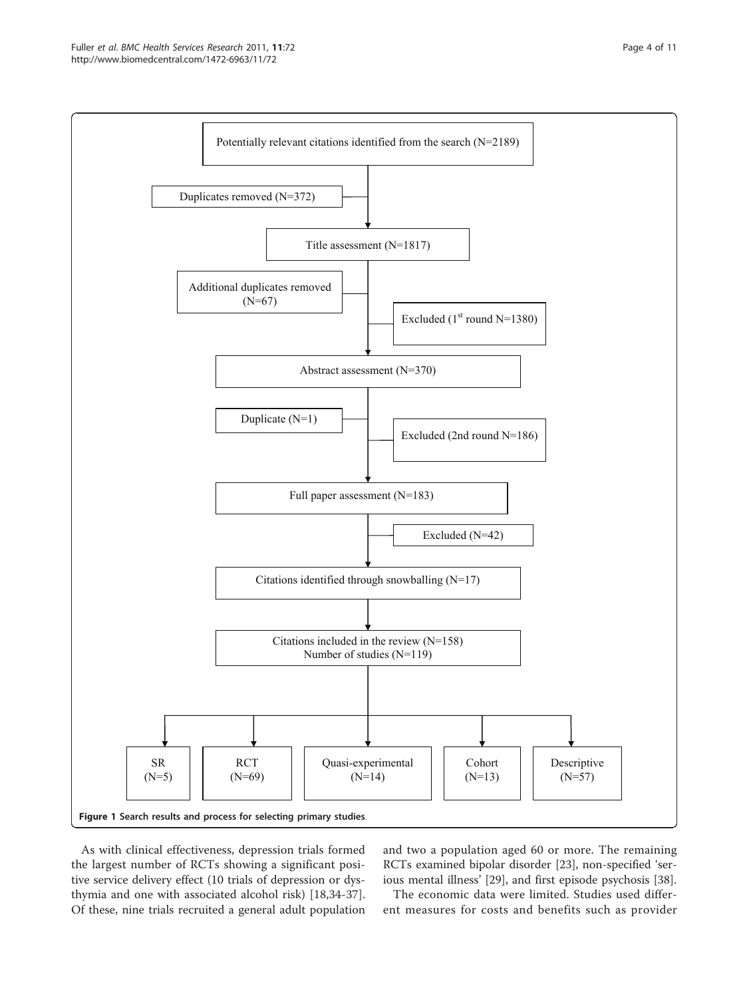<span id="page-3-0"></span>

As with clinical effectiveness, depression trials formed the largest number of RCTs showing a significant positive service delivery effect (10 trials of depression or dysthymia and one with associated alcohol risk) [[18,](#page-8-0)[34-37](#page-9-0)]. Of these, nine trials recruited a general adult population and two a population aged 60 or more. The remaining RCTs examined bipolar disorder [\[23\]](#page-8-0), non-specified 'serious mental illness' [\[29\]](#page-9-0), and first episode psychosis [\[38\]](#page-9-0).

The economic data were limited. Studies used different measures for costs and benefits such as provider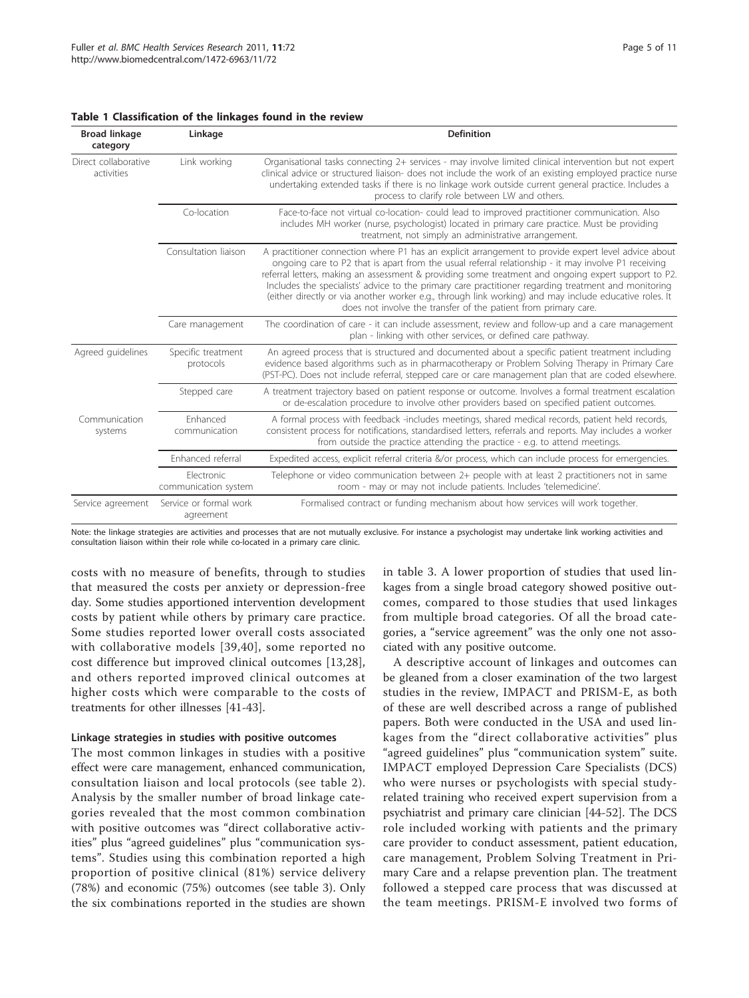| <b>Broad linkage</b><br>category   | Linkage                             | <b>Definition</b>                                                                                                                                                                                                                                                                                                                                                                                                                                                                                                                                                                                      |
|------------------------------------|-------------------------------------|--------------------------------------------------------------------------------------------------------------------------------------------------------------------------------------------------------------------------------------------------------------------------------------------------------------------------------------------------------------------------------------------------------------------------------------------------------------------------------------------------------------------------------------------------------------------------------------------------------|
| Direct collaborative<br>activities | Link working                        | Organisational tasks connecting 2+ services - may involve limited clinical intervention but not expert<br>clinical advice or structured liaison- does not include the work of an existing employed practice nurse<br>undertaking extended tasks if there is no linkage work outside current general practice. Includes a<br>process to clarify role between LW and others.                                                                                                                                                                                                                             |
|                                    | Co-location                         | Face-to-face not virtual co-location- could lead to improved practitioner communication. Also<br>includes MH worker (nurse, psychologist) located in primary care practice. Must be providing<br>treatment, not simply an administrative arrangement.                                                                                                                                                                                                                                                                                                                                                  |
|                                    | Consultation liaison                | A practitioner connection where P1 has an explicit arrangement to provide expert level advice about<br>ongoing care to P2 that is apart from the usual referral relationship - it may involve P1 receiving<br>referral letters, making an assessment & providing some treatment and ongoing expert support to P2.<br>Includes the specialists' advice to the primary care practitioner regarding treatment and monitoring<br>(either directly or via another worker e.g., through link working) and may include educative roles. It<br>does not involve the transfer of the patient from primary care. |
|                                    | Care management                     | The coordination of care - it can include assessment, review and follow-up and a care management<br>plan - linking with other services, or defined care pathway.                                                                                                                                                                                                                                                                                                                                                                                                                                       |
| Agreed guidelines                  | Specific treatment<br>protocols     | An agreed process that is structured and documented about a specific patient treatment including<br>evidence based algorithms such as in pharmacotherapy or Problem Solving Therapy in Primary Care<br>(PST-PC). Does not include referral, stepped care or care management plan that are coded elsewhere.                                                                                                                                                                                                                                                                                             |
|                                    | Stepped care                        | A treatment trajectory based on patient response or outcome. Involves a formal treatment escalation<br>or de-escalation procedure to involve other providers based on specified patient outcomes.                                                                                                                                                                                                                                                                                                                                                                                                      |
| Communication<br>systems           | Enhanced<br>communication           | A formal process with feedback -includes meetings, shared medical records, patient held records,<br>consistent process for notifications, standardised letters, referrals and reports. May includes a worker<br>from outside the practice attending the practice - e.g. to attend meetings.                                                                                                                                                                                                                                                                                                            |
|                                    | Enhanced referral                   | Expedited access, explicit referral criteria &/or process, which can include process for emergencies.                                                                                                                                                                                                                                                                                                                                                                                                                                                                                                  |
|                                    | Flectronic<br>communication system  | Telephone or video communication between 2+ people with at least 2 practitioners not in same<br>room - may or may not include patients. Includes 'telemedicine'.                                                                                                                                                                                                                                                                                                                                                                                                                                       |
| Service agreement                  | Service or formal work<br>agreement | Formalised contract or funding mechanism about how services will work together.                                                                                                                                                                                                                                                                                                                                                                                                                                                                                                                        |

#### <span id="page-4-0"></span>Table 1 Classification of the linkages found in the review

Note: the linkage strategies are activities and processes that are not mutually exclusive. For instance a psychologist may undertake link working activities and consultation liaison within their role while co-located in a primary care clinic.

costs with no measure of benefits, through to studies that measured the costs per anxiety or depression-free day. Some studies apportioned intervention development costs by patient while others by primary care practice. Some studies reported lower overall costs associated with collaborative models [[39,40](#page-9-0)], some reported no cost difference but improved clinical outcomes [[13,](#page-8-0)[28](#page-9-0)], and others reported improved clinical outcomes at higher costs which were comparable to the costs of treatments for other illnesses [[41](#page-9-0)-[43\]](#page-9-0).

#### Linkage strategies in studies with positive outcomes

The most common linkages in studies with a positive effect were care management, enhanced communication, consultation liaison and local protocols (see table [2\)](#page-5-0). Analysis by the smaller number of broad linkage categories revealed that the most common combination with positive outcomes was "direct collaborative activities" plus "agreed guidelines" plus "communication systems". Studies using this combination reported a high proportion of positive clinical (81%) service delivery (78%) and economic (75%) outcomes (see table [3\)](#page-5-0). Only the six combinations reported in the studies are shown in table [3](#page-5-0). A lower proportion of studies that used linkages from a single broad category showed positive outcomes, compared to those studies that used linkages from multiple broad categories. Of all the broad categories, a "service agreement" was the only one not associated with any positive outcome.

A descriptive account of linkages and outcomes can be gleaned from a closer examination of the two largest studies in the review, IMPACT and PRISM-E, as both of these are well described across a range of published papers. Both were conducted in the USA and used linkages from the "direct collaborative activities" plus "agreed guidelines" plus "communication system" suite. IMPACT employed Depression Care Specialists (DCS) who were nurses or psychologists with special studyrelated training who received expert supervision from a psychiatrist and primary care clinician [[44](#page-9-0)-[52\]](#page-9-0). The DCS role included working with patients and the primary care provider to conduct assessment, patient education, care management, Problem Solving Treatment in Primary Care and a relapse prevention plan. The treatment followed a stepped care process that was discussed at the team meetings. PRISM-E involved two forms of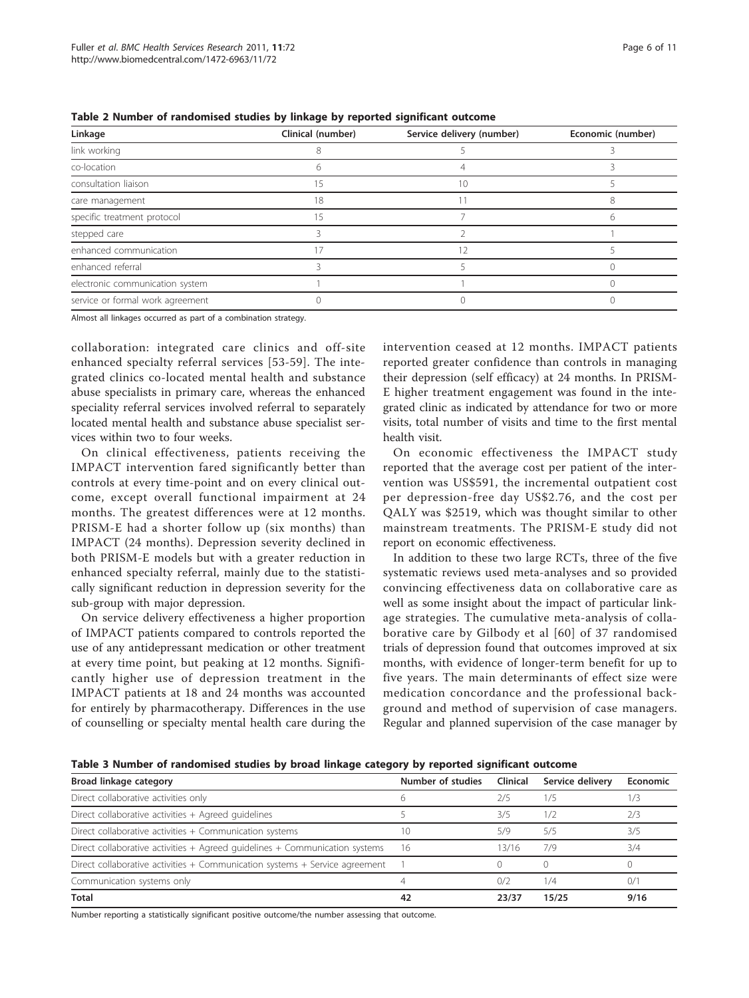Almost all linkages occurred as part of a combination strategy.

collaboration: integrated care clinics and off-site enhanced specialty referral services [[53-59\]](#page-9-0). The integrated clinics co-located mental health and substance abuse specialists in primary care, whereas the enhanced speciality referral services involved referral to separately located mental health and substance abuse specialist services within two to four weeks.

On clinical effectiveness, patients receiving the IMPACT intervention fared significantly better than controls at every time-point and on every clinical outcome, except overall functional impairment at 24 months. The greatest differences were at 12 months. PRISM-E had a shorter follow up (six months) than IMPACT (24 months). Depression severity declined in both PRISM-E models but with a greater reduction in enhanced specialty referral, mainly due to the statistically significant reduction in depression severity for the sub-group with major depression.

On service delivery effectiveness a higher proportion of IMPACT patients compared to controls reported the use of any antidepressant medication or other treatment at every time point, but peaking at 12 months. Significantly higher use of depression treatment in the IMPACT patients at 18 and 24 months was accounted for entirely by pharmacotherapy. Differences in the use of counselling or specialty mental health care during the intervention ceased at 12 months. IMPACT patients reported greater confidence than controls in managing their depression (self efficacy) at 24 months. In PRISM-E higher treatment engagement was found in the integrated clinic as indicated by attendance for two or more visits, total number of visits and time to the first mental health visit.

On economic effectiveness the IMPACT study reported that the average cost per patient of the intervention was US\$591, the incremental outpatient cost per depression-free day US\$2.76, and the cost per QALY was \$2519, which was thought similar to other mainstream treatments. The PRISM-E study did not report on economic effectiveness.

In addition to these two large RCTs, three of the five systematic reviews used meta-analyses and so provided convincing effectiveness data on collaborative care as well as some insight about the impact of particular linkage strategies. The cumulative meta-analysis of collaborative care by Gilbody et al [[60](#page-9-0)] of 37 randomised trials of depression found that outcomes improved at six months, with evidence of longer-term benefit for up to five years. The main determinants of effect size were medication concordance and the professional background and method of supervision of case managers. Regular and planned supervision of the case manager by

Table 3 Number of randomised studies by broad linkage category by reported significant outcome

| Broad linkage category                                                      | Number of studies | Clinical | Service delivery | Economic |
|-----------------------------------------------------------------------------|-------------------|----------|------------------|----------|
| Direct collaborative activities only                                        |                   | 7/5      | 1/5              | 1/3      |
| Direct collaborative activities + Agreed guidelines                         |                   | 3/5      | 172              | 7/3      |
| Direct collaborative activities + Communication systems                     |                   | 5/9      | 5/5              | 3/5      |
| Direct collaborative activities + Agreed guidelines + Communication systems | 16                | 13/16    | 7/9              | 3/4      |
| Direct collaborative activities + Communication systems + Service agreement |                   |          |                  |          |
| Communication systems only                                                  |                   | 0/2      | 1/4              | 0/1      |
| Total                                                                       | 42                | 23/37    | 15/25            | 9/16     |

Number reporting a statistically significant positive outcome/the number assessing that outcome.

| Linkage                     | Clinical (number) | Service delivery (number) | Economic (number) |
|-----------------------------|-------------------|---------------------------|-------------------|
| link working                |                   |                           |                   |
| co-location                 |                   |                           |                   |
| consultation liaison        |                   |                           |                   |
| care management             | 18                |                           |                   |
| specific treatment protocol |                   |                           |                   |
| stepped care                |                   |                           |                   |
| enhanced communication      |                   |                           |                   |
| enhanced referral           |                   |                           |                   |

electronic communication system 1 1 0 service or formal work agreement 0 0 0

<span id="page-5-0"></span>Table 2 Number of randomised studies by linkage by reported significant outcome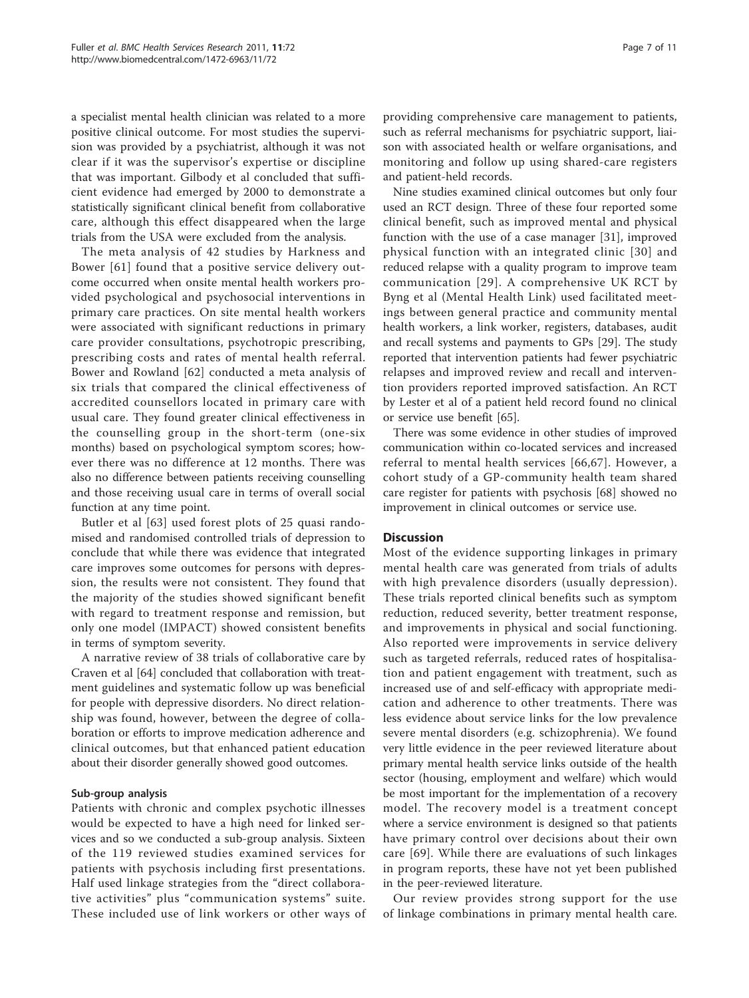a specialist mental health clinician was related to a more positive clinical outcome. For most studies the supervision was provided by a psychiatrist, although it was not clear if it was the supervisor's expertise or discipline that was important. Gilbody et al concluded that sufficient evidence had emerged by 2000 to demonstrate a statistically significant clinical benefit from collaborative care, although this effect disappeared when the large trials from the USA were excluded from the analysis.

The meta analysis of 42 studies by Harkness and Bower [[61](#page-10-0)] found that a positive service delivery outcome occurred when onsite mental health workers provided psychological and psychosocial interventions in primary care practices. On site mental health workers were associated with significant reductions in primary care provider consultations, psychotropic prescribing, prescribing costs and rates of mental health referral. Bower and Rowland [\[62\]](#page-10-0) conducted a meta analysis of six trials that compared the clinical effectiveness of accredited counsellors located in primary care with usual care. They found greater clinical effectiveness in the counselling group in the short-term (one-six months) based on psychological symptom scores; however there was no difference at 12 months. There was also no difference between patients receiving counselling and those receiving usual care in terms of overall social function at any time point.

Butler et al [[63\]](#page-10-0) used forest plots of 25 quasi randomised and randomised controlled trials of depression to conclude that while there was evidence that integrated care improves some outcomes for persons with depression, the results were not consistent. They found that the majority of the studies showed significant benefit with regard to treatment response and remission, but only one model (IMPACT) showed consistent benefits in terms of symptom severity.

A narrative review of 38 trials of collaborative care by Craven et al [[64\]](#page-10-0) concluded that collaboration with treatment guidelines and systematic follow up was beneficial for people with depressive disorders. No direct relationship was found, however, between the degree of collaboration or efforts to improve medication adherence and clinical outcomes, but that enhanced patient education about their disorder generally showed good outcomes.

#### Sub-group analysis

Patients with chronic and complex psychotic illnesses would be expected to have a high need for linked services and so we conducted a sub-group analysis. Sixteen of the 119 reviewed studies examined services for patients with psychosis including first presentations. Half used linkage strategies from the "direct collaborative activities" plus "communication systems" suite. These included use of link workers or other ways of

providing comprehensive care management to patients, such as referral mechanisms for psychiatric support, liaison with associated health or welfare organisations, and monitoring and follow up using shared-care registers and patient-held records.

Nine studies examined clinical outcomes but only four used an RCT design. Three of these four reported some clinical benefit, such as improved mental and physical function with the use of a case manager [\[31](#page-9-0)], improved physical function with an integrated clinic [[30](#page-9-0)] and reduced relapse with a quality program to improve team communication [[29](#page-9-0)]. A comprehensive UK RCT by Byng et al (Mental Health Link) used facilitated meetings between general practice and community mental health workers, a link worker, registers, databases, audit and recall systems and payments to GPs [[29](#page-9-0)]. The study reported that intervention patients had fewer psychiatric relapses and improved review and recall and intervention providers reported improved satisfaction. An RCT by Lester et al of a patient held record found no clinical or service use benefit [\[65](#page-10-0)].

There was some evidence in other studies of improved communication within co-located services and increased referral to mental health services [[66](#page-10-0),[67](#page-10-0)]. However, a cohort study of a GP-community health team shared care register for patients with psychosis [\[68](#page-10-0)] showed no improvement in clinical outcomes or service use.

#### **Discussion**

Most of the evidence supporting linkages in primary mental health care was generated from trials of adults with high prevalence disorders (usually depression). These trials reported clinical benefits such as symptom reduction, reduced severity, better treatment response, and improvements in physical and social functioning. Also reported were improvements in service delivery such as targeted referrals, reduced rates of hospitalisation and patient engagement with treatment, such as increased use of and self-efficacy with appropriate medication and adherence to other treatments. There was less evidence about service links for the low prevalence severe mental disorders (e.g. schizophrenia). We found very little evidence in the peer reviewed literature about primary mental health service links outside of the health sector (housing, employment and welfare) which would be most important for the implementation of a recovery model. The recovery model is a treatment concept where a service environment is designed so that patients have primary control over decisions about their own care [[69](#page-10-0)]. While there are evaluations of such linkages in program reports, these have not yet been published in the peer-reviewed literature.

Our review provides strong support for the use of linkage combinations in primary mental health care.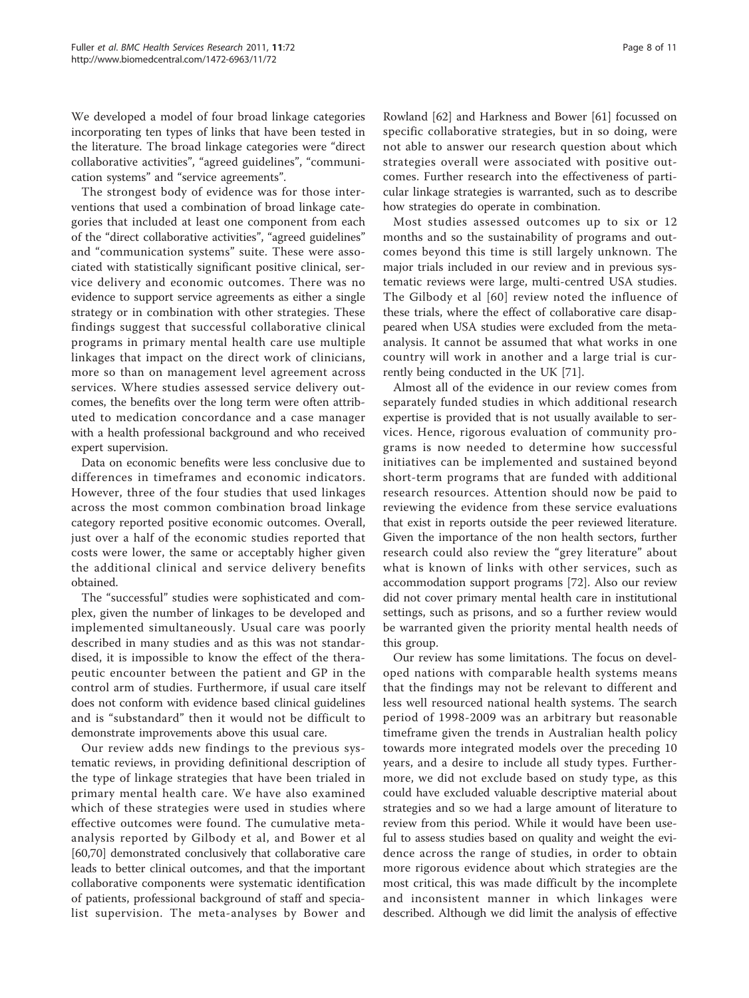We developed a model of four broad linkage categories incorporating ten types of links that have been tested in the literature. The broad linkage categories were "direct collaborative activities", "agreed guidelines", "communication systems" and "service agreements".

The strongest body of evidence was for those interventions that used a combination of broad linkage categories that included at least one component from each of the "direct collaborative activities", "agreed guidelines" and "communication systems" suite. These were associated with statistically significant positive clinical, service delivery and economic outcomes. There was no evidence to support service agreements as either a single strategy or in combination with other strategies. These findings suggest that successful collaborative clinical programs in primary mental health care use multiple linkages that impact on the direct work of clinicians, more so than on management level agreement across services. Where studies assessed service delivery outcomes, the benefits over the long term were often attributed to medication concordance and a case manager with a health professional background and who received expert supervision.

Data on economic benefits were less conclusive due to differences in timeframes and economic indicators. However, three of the four studies that used linkages across the most common combination broad linkage category reported positive economic outcomes. Overall, just over a half of the economic studies reported that costs were lower, the same or acceptably higher given the additional clinical and service delivery benefits obtained.

The "successful" studies were sophisticated and complex, given the number of linkages to be developed and implemented simultaneously. Usual care was poorly described in many studies and as this was not standardised, it is impossible to know the effect of the therapeutic encounter between the patient and GP in the control arm of studies. Furthermore, if usual care itself does not conform with evidence based clinical guidelines and is "substandard" then it would not be difficult to demonstrate improvements above this usual care.

Our review adds new findings to the previous systematic reviews, in providing definitional description of the type of linkage strategies that have been trialed in primary mental health care. We have also examined which of these strategies were used in studies where effective outcomes were found. The cumulative metaanalysis reported by Gilbody et al, and Bower et al [[60,](#page-9-0)[70\]](#page-10-0) demonstrated conclusively that collaborative care leads to better clinical outcomes, and that the important collaborative components were systematic identification of patients, professional background of staff and specialist supervision. The meta-analyses by Bower and

Rowland [[62\]](#page-10-0) and Harkness and Bower [\[61](#page-10-0)] focussed on specific collaborative strategies, but in so doing, were not able to answer our research question about which strategies overall were associated with positive outcomes. Further research into the effectiveness of particular linkage strategies is warranted, such as to describe how strategies do operate in combination.

Most studies assessed outcomes up to six or 12 months and so the sustainability of programs and outcomes beyond this time is still largely unknown. The major trials included in our review and in previous systematic reviews were large, multi-centred USA studies. The Gilbody et al [\[60\]](#page-9-0) review noted the influence of these trials, where the effect of collaborative care disappeared when USA studies were excluded from the metaanalysis. It cannot be assumed that what works in one country will work in another and a large trial is currently being conducted in the UK [[71](#page-10-0)].

Almost all of the evidence in our review comes from separately funded studies in which additional research expertise is provided that is not usually available to services. Hence, rigorous evaluation of community programs is now needed to determine how successful initiatives can be implemented and sustained beyond short-term programs that are funded with additional research resources. Attention should now be paid to reviewing the evidence from these service evaluations that exist in reports outside the peer reviewed literature. Given the importance of the non health sectors, further research could also review the "grey literature" about what is known of links with other services, such as accommodation support programs [\[72](#page-10-0)]. Also our review did not cover primary mental health care in institutional settings, such as prisons, and so a further review would be warranted given the priority mental health needs of this group.

Our review has some limitations. The focus on developed nations with comparable health systems means that the findings may not be relevant to different and less well resourced national health systems. The search period of 1998-2009 was an arbitrary but reasonable timeframe given the trends in Australian health policy towards more integrated models over the preceding 10 years, and a desire to include all study types. Furthermore, we did not exclude based on study type, as this could have excluded valuable descriptive material about strategies and so we had a large amount of literature to review from this period. While it would have been useful to assess studies based on quality and weight the evidence across the range of studies, in order to obtain more rigorous evidence about which strategies are the most critical, this was made difficult by the incomplete and inconsistent manner in which linkages were described. Although we did limit the analysis of effective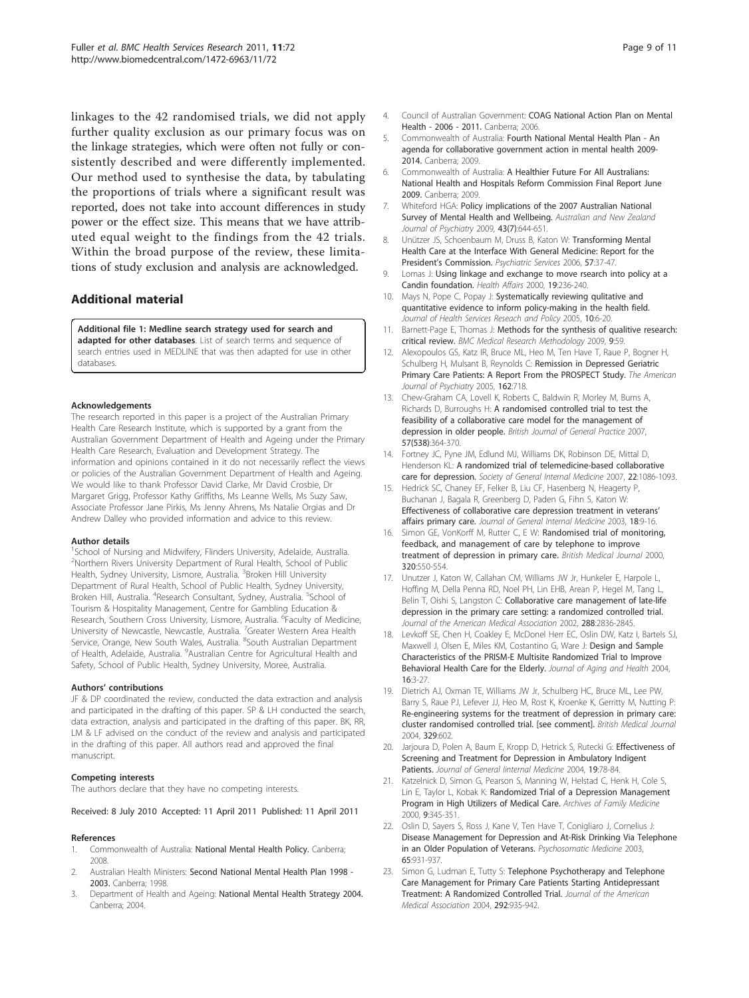<span id="page-8-0"></span>linkages to the 42 randomised trials, we did not apply further quality exclusion as our primary focus was on the linkage strategies, which were often not fully or consistently described and were differently implemented. Our method used to synthesise the data, by tabulating the proportions of trials where a significant result was reported, does not take into account differences in study power or the effect size. This means that we have attributed equal weight to the findings from the 42 trials. Within the broad purpose of the review, these limitations of study exclusion and analysis are acknowledged.

# Additional material

[Additional file 1: M](http://www.biomedcentral.com/content/supplementary/1472-6963-11-72-S1.DOC)edline search strategy used for search and adapted for other databases. List of search terms and sequence of search entries used in MEDLINE that was then adapted for use in other databases.

#### Acknowledgements

The research reported in this paper is a project of the Australian Primary Health Care Research Institute, which is supported by a grant from the Australian Government Department of Health and Ageing under the Primary Health Care Research, Evaluation and Development Strategy. The information and opinions contained in it do not necessarily reflect the views or policies of the Australian Government Department of Health and Ageing. We would like to thank Professor David Clarke, Mr David Crosbie, Dr Margaret Grigg, Professor Kathy Griffiths, Ms Leanne Wells, Ms Suzy Saw, Associate Professor Jane Pirkis, Ms Jenny Ahrens, Ms Natalie Orgias and Dr Andrew Dalley who provided information and advice to this review.

#### Author details

<sup>1</sup>School of Nursing and Midwifery, Flinders University, Adelaide, Australia. <sup>2</sup>Northern Rivers University Department of Rural Health, School of Public Health, Sydney University, Lismore, Australia. <sup>3</sup>Broken Hill University Department of Rural Health, School of Public Health, Sydney University, Broken Hill, Australia. <sup>4</sup>Research Consultant, Sydney, Australia. <sup>5</sup>School of Tourism & Hospitality Management, Centre for Gambling Education & Research, Southern Cross University, Lismore, Australia. <sup>6</sup>Faculty of Medicine, University of Newcastle, Newcastle, Australia. <sup>7</sup>Greater Western Area Health Service, Orange, New South Wales, Australia. <sup>8</sup>South Australian Department of Health, Adelaide, Australia. <sup>9</sup>Australian Centre for Agricultural Health and Safety, School of Public Health, Sydney University, Moree, Australia.

#### Authors' contributions

JF & DP coordinated the review, conducted the data extraction and analysis and participated in the drafting of this paper. SP & LH conducted the search, data extraction, analysis and participated in the drafting of this paper. BK, RR, LM & LF advised on the conduct of the review and analysis and participated in the drafting of this paper. All authors read and approved the final manuscript.

#### Competing interests

The authors declare that they have no competing interests.

#### Received: 8 July 2010 Accepted: 11 April 2011 Published: 11 April 2011

#### References

- Commonwealth of Australia: National Mental Health Policy. Canberra; 2008.
- 2. Australian Health Ministers: Second National Mental Health Plan 1998 2003. Canberra; 1998.
- 3. Department of Health and Ageing: National Mental Health Strategy 2004. Canberra; 2004.
- 4. Council of Australian Government: COAG National Action Plan on Mental Health - 2006 - 2011. Canberra; 2006.
- 5. Commonwealth of Australia: Fourth National Mental Health Plan An agenda for collaborative government action in mental health 2009- 2014. Canberra; 2009.
- 6. Commonwealth of Australia: A Healthier Future For All Australians: National Health and Hospitals Reform Commission Final Report June 2009. Canberra; 2009.
- 7. Whiteford HGA: [Policy implications of the 2007 Australian National](http://www.ncbi.nlm.nih.gov/pubmed/19530021?dopt=Abstract) [Survey of Mental Health and Wellbeing.](http://www.ncbi.nlm.nih.gov/pubmed/19530021?dopt=Abstract) Australian and New Zealand Journal of Psychiatry 2009, 43(7):644-651.
- 8. Unützer JS, Schoenbaum M, Druss B, Katon W: [Transforming Mental](http://www.ncbi.nlm.nih.gov/pubmed/16399961?dopt=Abstract) [Health Care at the Interface With General Medicine: Report for the](http://www.ncbi.nlm.nih.gov/pubmed/16399961?dopt=Abstract) President'[s Commission.](http://www.ncbi.nlm.nih.gov/pubmed/16399961?dopt=Abstract) Psychiatric Services 2006, 57:37-47.
- 9. Lomas J: [Using linkage and exchange to move rsearch into policy at a](http://www.ncbi.nlm.nih.gov/pubmed/10812803?dopt=Abstract) [Candin foundation.](http://www.ncbi.nlm.nih.gov/pubmed/10812803?dopt=Abstract) Health Affairs 2000, 19:236-240.
- 10. Mays N, Pope C, Popay J: Systematically reviewing qulitative and quantitative evidence to inform policy-making in the health field. Journal of Health Services Reseach and Policy 2005, 10:6-20.
- 11. Barnett-Page E, Thomas J: [Methods for the synthesis of qualitive research:](http://www.ncbi.nlm.nih.gov/pubmed/19671152?dopt=Abstract) [critical review.](http://www.ncbi.nlm.nih.gov/pubmed/19671152?dopt=Abstract) BMC Medical Research Methodology 2009, 9:59.
- 12. Alexopoulos GS, Katz IR, Bruce ML, Heo M, Ten Have T, Raue P, Bogner H, Schulberg H, Mulsant B, Reynolds C: [Remission in Depressed Geriatric](http://www.ncbi.nlm.nih.gov/pubmed/15800144?dopt=Abstract) [Primary Care Patients: A Report From the PROSPECT Study.](http://www.ncbi.nlm.nih.gov/pubmed/15800144?dopt=Abstract) The American Journal of Psychiatry 2005, 162:718.
- 13. Chew-Graham CA, Lovell K, Roberts C, Baldwin R, Morley M, Burns A, Richards D, Burroughs H: [A randomised controlled trial to test the](http://www.ncbi.nlm.nih.gov/pubmed/17504586?dopt=Abstract) [feasibility of a collaborative care model for the management of](http://www.ncbi.nlm.nih.gov/pubmed/17504586?dopt=Abstract) [depression in older people.](http://www.ncbi.nlm.nih.gov/pubmed/17504586?dopt=Abstract) British Journal of General Practice 2007, 57(538):364-370.
- 14. Fortney JC, Pyne JM, Edlund MJ, Williams DK, Robinson DE, Mittal D, Henderson KL: A randomized trial of telemedicine-based collaborative care for depression. Society of General Internal Medicine 2007, 22:1086-1093.
- 15. Hedrick SC, Chaney EF, Felker B, Liu CF, Hasenberg N, Heagerty P, Buchanan J, Bagala R, Greenberg D, Paden G, Fihn S, Katon W: [Effectiveness of collaborative care depression treatment in veterans](http://www.ncbi.nlm.nih.gov/pubmed/12534758?dopt=Abstract)' [affairs primary care.](http://www.ncbi.nlm.nih.gov/pubmed/12534758?dopt=Abstract) Journal of General Internal Medicine 2003, 18:9-16.
- 16. Simon GE, VonKorff M, Rutter C, E W: [Randomised trial of monitoring,](http://www.ncbi.nlm.nih.gov/pubmed/10688563?dopt=Abstract) [feedback, and management of care by telephone to improve](http://www.ncbi.nlm.nih.gov/pubmed/10688563?dopt=Abstract) [treatment of depression in primary care.](http://www.ncbi.nlm.nih.gov/pubmed/10688563?dopt=Abstract) British Medical Journal 2000, 320:550-554.
- 17. Unutzer J, Katon W, Callahan CM, Williams JW Jr, Hunkeler E, Harpole L, Hoffing M, Della Penna RD, Noel PH, Lin EHB, Arean P, Hegel M, Tang L, Belin T, Oishi S, Langston C: [Collaborative care management of late-life](http://www.ncbi.nlm.nih.gov/pubmed/12472325?dopt=Abstract) [depression in the primary care setting: a randomized controlled trial.](http://www.ncbi.nlm.nih.gov/pubmed/12472325?dopt=Abstract) Journal of the American Medical Association 2002, 288:2836-2845.
- 18. Levkoff SE, Chen H, Coakley E, McDonel Herr EC, Oslin DW, Katz I, Bartels SJ, Maxwell J, Olsen E, Miles KM, Costantino G, Ware J: [Design and Sample](http://www.ncbi.nlm.nih.gov/pubmed/14979308?dopt=Abstract) [Characteristics of the PRISM-E Multisite Randomized Trial to Improve](http://www.ncbi.nlm.nih.gov/pubmed/14979308?dopt=Abstract) [Behavioral Health Care for the Elderly.](http://www.ncbi.nlm.nih.gov/pubmed/14979308?dopt=Abstract) Journal of Aging and Health 2004, 16:3-27.
- 19. Dietrich AJ, Oxman TE, Williams JW Jr, Schulberg HC, Bruce ML, Lee PW, Barry S, Raue PJ, Lefever JJ, Heo M, Rost K, Kroenke K, Gerritty M, Nutting P: [Re-engineering systems for the treatment of depression in primary care:](http://www.ncbi.nlm.nih.gov/pubmed/15345600?dopt=Abstract) [cluster randomised controlled trial. \[see comment\].](http://www.ncbi.nlm.nih.gov/pubmed/15345600?dopt=Abstract) British Medical Journal 2004, 329:602.
- 20. Jarjoura D, Polen A, Baum E, Kropp D, Hetrick S, Rutecki G: Effectiveness of Screening and Treatment for Depression in Ambulatory Indigent Patients. Journal of General linternal Medicine 2004, 19:78-84.
- 21. Katzelnick D, Simon G, Pearson S, Manning W, Helstad C, Henk H, Cole S, Lin E, Taylor L, Kobak K: [Randomized Trial of a Depression Management](http://www.ncbi.nlm.nih.gov/pubmed/10776363?dopt=Abstract) [Program in High Utilizers of Medical Care.](http://www.ncbi.nlm.nih.gov/pubmed/10776363?dopt=Abstract) Archives of Family Medicine 2000, 9:345-351.
- 22. Oslin D, Sayers S, Ross J, Kane V, Ten Have T, Conigliaro J, Cornelius J: [Disease Management for Depression and At-Risk Drinking Via Telephone](http://www.ncbi.nlm.nih.gov/pubmed/14645769?dopt=Abstract) [in an Older Population of Veterans.](http://www.ncbi.nlm.nih.gov/pubmed/14645769?dopt=Abstract) Psychosomatic Medicine 2003, 65:931-937.
- 23. Simon G, Ludman E, Tutty S: [Telephone Psychotherapy and Telephone](http://www.ncbi.nlm.nih.gov/pubmed/15328325?dopt=Abstract) [Care Management for Primary Care Patients Starting Antidepressant](http://www.ncbi.nlm.nih.gov/pubmed/15328325?dopt=Abstract) [Treatment: A Randomized Controlled Trial.](http://www.ncbi.nlm.nih.gov/pubmed/15328325?dopt=Abstract) Journal of the American Medical Association 2004, 292:935-942.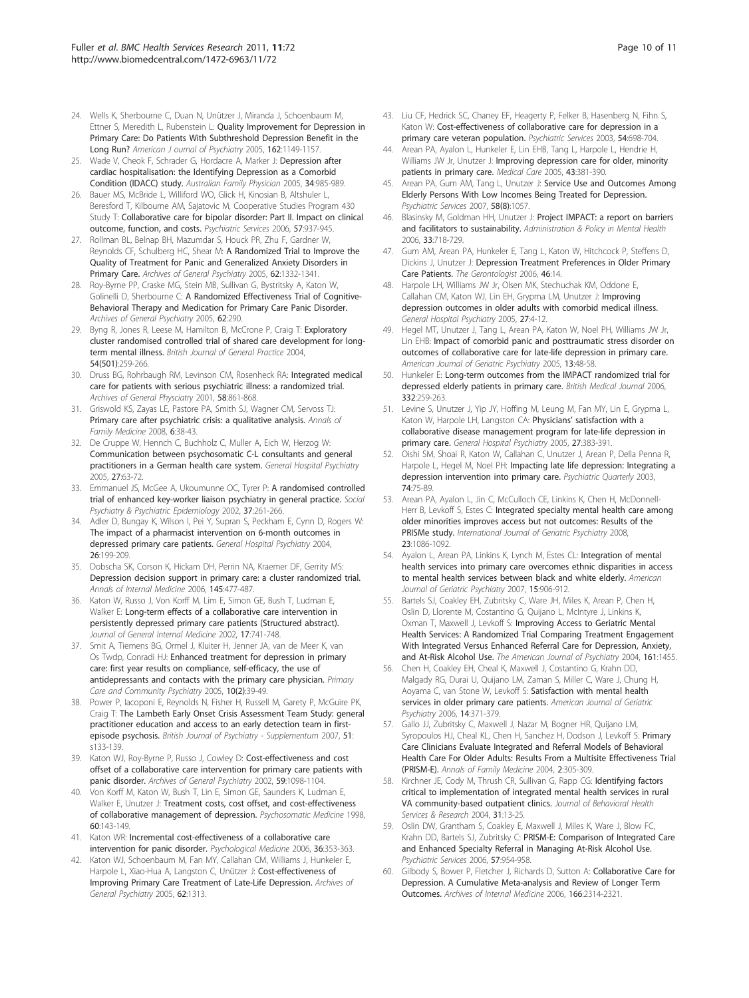- <span id="page-9-0"></span>24. Wells K, Sherbourne C, Duan N, Unützer J, Miranda J, Schoenbaum M, Ettner S, Meredith L, Rubenstein L: Quality Improvement for Depression in Primary Care: Do Patients With Subthreshold Depression Benefit in the Long Run? American J ournal of Psychiatry 2005, 162:1149-1157.
- 25. Wade V, Cheok F, Schrader G, Hordacre A, Marker J: [Depression after](http://www.ncbi.nlm.nih.gov/pubmed/16299640?dopt=Abstract) [cardiac hospitalisation: the Identifying Depression as a Comorbid](http://www.ncbi.nlm.nih.gov/pubmed/16299640?dopt=Abstract) [Condition \(IDACC\) study.](http://www.ncbi.nlm.nih.gov/pubmed/16299640?dopt=Abstract) Australian Family Physician 2005, 34:985-989.
- 26. Bauer MS, McBride L, Williford WO, Glick H, Kinosian B, Altshuler L, Beresford T, Kilbourne AM, Sajatovic M, Cooperative Studies Program 430 Study T: [Collaborative care for bipolar disorder: Part II. Impact on clinical](http://www.ncbi.nlm.nih.gov/pubmed/16816277?dopt=Abstract) [outcome, function, and costs.](http://www.ncbi.nlm.nih.gov/pubmed/16816277?dopt=Abstract) Psychiatric Services 2006, 57:937-945.
- 27. Rollman BL, Belnap BH, Mazumdar S, Houck PR, Zhu F, Gardner W, Reynolds CF, Schulberg HC, Shear M: [A Randomized Trial to Improve the](http://www.ncbi.nlm.nih.gov/pubmed/16330721?dopt=Abstract) [Quality of Treatment for Panic and Generalized Anxiety Disorders in](http://www.ncbi.nlm.nih.gov/pubmed/16330721?dopt=Abstract) [Primary Care.](http://www.ncbi.nlm.nih.gov/pubmed/16330721?dopt=Abstract) Archives of General Psychiatry 2005, 62:1332-1341.
- 28. Roy-Byrne PP, Craske MG, Stein MB, Sullivan G, Bystritsky A, Katon W, Golinelli D, Sherbourne C: [A Randomized Effectiveness Trial of Cognitive-](http://www.ncbi.nlm.nih.gov/pubmed/15753242?dopt=Abstract)[Behavioral Therapy and Medication for Primary Care Panic Disorder.](http://www.ncbi.nlm.nih.gov/pubmed/15753242?dopt=Abstract) Archives of General Psychiatry 2005, 62:290.
- 29. Byng R, Jones R, Leese M, Hamilton B, McCrone P, Craig T: [Exploratory](http://www.ncbi.nlm.nih.gov/pubmed/15113492?dopt=Abstract) [cluster randomised controlled trial of shared care development for long](http://www.ncbi.nlm.nih.gov/pubmed/15113492?dopt=Abstract)[term mental illness.](http://www.ncbi.nlm.nih.gov/pubmed/15113492?dopt=Abstract) British Journal of General Practice 2004, 54(501):259-266.
- 30. Druss BG, Rohrbaugh RM, Levinson CM, Rosenheck RA: Integrated medical care for patients with serious psychiatric illness: a randomized trial. Archives of General Physciatry 2001, 58:861-868.
- 31. Griswold KS, Zayas LE, Pastore PA, Smith SJ, Wagner CM, Servoss TJ: [Primary care after psychiatric crisis: a qualitative analysis.](http://www.ncbi.nlm.nih.gov/pubmed/18195313?dopt=Abstract) Annals of Family Medicine 2008, 6:38-43.
- 32. De Cruppe W, Hennch C, Buchholz C, Muller A, Eich W, Herzog W: [Communication between psychosomatic C-L consultants and general](http://www.ncbi.nlm.nih.gov/pubmed/15694220?dopt=Abstract) [practitioners in a German health care system.](http://www.ncbi.nlm.nih.gov/pubmed/15694220?dopt=Abstract) General Hospital Psychiatry 2005, 27:63-72.
- 33. Emmanuel JS, McGee A, Ukoumunne OC, Tyrer P: A randomised controlled trial of enhanced key-worker liaison psychiatry in general practice. Social Psychiatry & Psychiatric Epidemiology 2002, 37:261-266.
- 34. Adler D, Bungay K, Wilson I, Pei Y, Supran S, Peckham E, Cynn D, Rogers W: [The impact of a pharmacist intervention on 6-month outcomes in](http://www.ncbi.nlm.nih.gov/pubmed/15121348?dopt=Abstract) [depressed primary care patients.](http://www.ncbi.nlm.nih.gov/pubmed/15121348?dopt=Abstract) General Hospital Psychiatry 2004, 26:199-209.
- 35. Dobscha SK, Corson K, Hickam DH, Perrin NA, Kraemer DF, Gerrity MS: [Depression decision support in primary care: a cluster randomized trial.](http://www.ncbi.nlm.nih.gov/pubmed/17015865?dopt=Abstract) Annals of Internal Medicine 2006, 145:477-487.
- 36. Katon W, Russo J, Von Korff M, Lim E, Simon GE, Bush T, Ludman E, Walker E: [Long-term effects of a collaborative care intervention in](http://www.ncbi.nlm.nih.gov/pubmed/12390549?dopt=Abstract) [persistently depressed primary care patients \(Structured abstract\).](http://www.ncbi.nlm.nih.gov/pubmed/12390549?dopt=Abstract) Journal of General Internal Medicine 2002, 17:741-748.
- 37. Smit A, Tiemens BG, Ormel J, Kluiter H, Jenner JA, van de Meer K, van Os Twdp, Conradi HJ: Enhanced treatment for depression in primary care: first year results on compliance, self-efficacy, the use of antidepressants and contacts with the primary care physician. Primary Care and Community Psychiatry 2005, 10(2):39-49.
- 38. Power P, Iacoponi E, Reynolds N, Fisher H, Russell M, Garety P, McGuire PK, Craig T: The Lambeth Early Onset Crisis Assessment Team Study: general practitioner education and access to an early detection team in firstepisode psychosis. British Journal of Psychiatry - Supplementum 2007, 51: s133-139.
- 39. Katon WJ, Roy-Byrne P, Russo J, Cowley D: [Cost-effectiveness and cost](http://www.ncbi.nlm.nih.gov/pubmed/12470125?dopt=Abstract) [offset of a collaborative care intervention for primary care patients with](http://www.ncbi.nlm.nih.gov/pubmed/12470125?dopt=Abstract) [panic disorder.](http://www.ncbi.nlm.nih.gov/pubmed/12470125?dopt=Abstract) Archives of General Psychiatry 2002, 59:1098-1104.
- 40. Von Korff M, Katon W, Bush T, Lin E, Simon GE, Saunders K, Ludman E, Walker E, Unutzer J: [Treatment costs, cost offset, and cost-effectiveness](http://www.ncbi.nlm.nih.gov/pubmed/9560861?dopt=Abstract) [of collaborative management of depression.](http://www.ncbi.nlm.nih.gov/pubmed/9560861?dopt=Abstract) Psychosomatic Medicine 1998, 60:143-149.
- 41. Katon WR: [Incremental cost-effectiveness of a collaborative care](http://www.ncbi.nlm.nih.gov/pubmed/16403243?dopt=Abstract) [intervention for panic disorder.](http://www.ncbi.nlm.nih.gov/pubmed/16403243?dopt=Abstract) Psychological Medicine 2006, 36:353-363.
- 42. Katon WJ, Schoenbaum M, Fan MY, Callahan CM, Williams J, Hunkeler E, Harpole L, Xiao-Hua A, Langston C, Unützer J: [Cost-effectiveness of](http://www.ncbi.nlm.nih.gov/pubmed/16330719?dopt=Abstract) [Improving Primary Care Treatment of Late-Life Depression.](http://www.ncbi.nlm.nih.gov/pubmed/16330719?dopt=Abstract) Archives of General Psychiatry 2005, 62:1313.
- 43. Liu CF, Hedrick SC, Chaney EF, Heagerty P, Felker B, Hasenberg N, Fihn S, Katon W: [Cost-effectiveness of collaborative care for depression in a](http://www.ncbi.nlm.nih.gov/pubmed/12719501?dopt=Abstract) [primary care veteran population.](http://www.ncbi.nlm.nih.gov/pubmed/12719501?dopt=Abstract) Psychiatric Services 2003, 54:698-704.
- 44. Arean PA, Ayalon L, Hunkeler E, Lin EHB, Tang L, Harpole L, Hendrie H, Williams JW Jr, Unutzer J: [Improving depression care for older, minority](http://www.ncbi.nlm.nih.gov/pubmed/15778641?dopt=Abstract) [patients in primary care.](http://www.ncbi.nlm.nih.gov/pubmed/15778641?dopt=Abstract) Medical Care 2005, 43:381-390.
- 45. Arean PA, Gum AM, Tang L, Unutzer J: [Service Use and Outcomes Among](http://www.ncbi.nlm.nih.gov/pubmed/17664516?dopt=Abstract) [Elderly Persons With Low Incomes Being Treated for Depression.](http://www.ncbi.nlm.nih.gov/pubmed/17664516?dopt=Abstract) Psychiatric Services 2007, 58(8):1057.
- 46. Blasinsky M, Goldman HH, Unutzer J: Project IMPACT: a report on barriers and facilitators to sustainability. Administration & Policy in Mental Health 2006, 33:718-729.
- 47. Gum AM, Arean PA, Hunkeler E, Tang L, Katon W, Hitchcock P, Steffens D, Dickins J, Unutzer J: [Depression Treatment Preferences in Older Primary](http://www.ncbi.nlm.nih.gov/pubmed/16452280?dopt=Abstract) [Care Patients.](http://www.ncbi.nlm.nih.gov/pubmed/16452280?dopt=Abstract) The Gerontologist 2006, 46:14.
- 48. Harpole LH, Williams JW Jr, Olsen MK, Stechuchak KM, Oddone E, Callahan CM, Katon WJ, Lin EH, Grypma LM, Unutzer J: [Improving](http://www.ncbi.nlm.nih.gov/pubmed/15694213?dopt=Abstract) [depression outcomes in older adults with comorbid medical illness.](http://www.ncbi.nlm.nih.gov/pubmed/15694213?dopt=Abstract) General Hospital Psychiatry 2005, 27:4-12.
- 49. Hegel MT, Unutzer J, Tang L, Arean PA, Katon W, Noel PH, Williams JW Jr, Lin EHB: [Impact of comorbid panic and posttraumatic stress disorder on](http://www.ncbi.nlm.nih.gov/pubmed/15653940?dopt=Abstract) [outcomes of collaborative care for late-life depression in primary care.](http://www.ncbi.nlm.nih.gov/pubmed/15653940?dopt=Abstract) American Journal of Geriatric Psychiatry 2005, 13:48-58.
- 50. Hunkeler E: [Long-term outcomes from the IMPACT randomized trial for](http://www.ncbi.nlm.nih.gov/pubmed/16428253?dopt=Abstract) [depressed elderly patients in primary care.](http://www.ncbi.nlm.nih.gov/pubmed/16428253?dopt=Abstract) British Medical Journal 2006, 332:259-263.
- 51. Levine S, Unutzer J, Yip JY, Hoffing M, Leung M, Fan MY, Lin E, Grypma L, Katon W, Harpole LH, Langston CA: Physicians' [satisfaction with a](http://www.ncbi.nlm.nih.gov/pubmed/16271652?dopt=Abstract) [collaborative disease management program for late-life depression in](http://www.ncbi.nlm.nih.gov/pubmed/16271652?dopt=Abstract) [primary care.](http://www.ncbi.nlm.nih.gov/pubmed/16271652?dopt=Abstract) General Hospital Psychiatry 2005, 27:383-391.
- 52. Oishi SM, Shoai R, Katon W, Callahan C, Unutzer J, Arean P, Della Penna R, Harpole L, Hegel M, Noel PH: [Impacting late life depression: Integrating a](http://www.ncbi.nlm.nih.gov/pubmed/12602790?dopt=Abstract) [depression intervention into primary care.](http://www.ncbi.nlm.nih.gov/pubmed/12602790?dopt=Abstract) Psychiatric Quarterly 2003, 74:75-89.
- 53. Arean PA, Ayalon L, Jin C, McCulloch CE, Linkins K, Chen H, McDonnell-Herr B, Levkoff S, Estes C: [Integrated specialty mental health care among](http://www.ncbi.nlm.nih.gov/pubmed/18727133?dopt=Abstract) [older minorities improves access but not outcomes: Results of the](http://www.ncbi.nlm.nih.gov/pubmed/18727133?dopt=Abstract) [PRISMe study.](http://www.ncbi.nlm.nih.gov/pubmed/18727133?dopt=Abstract) International Journal of Geriatric Psychiatry 2008, 23:1086-1092.
- 54. Ayalon L, Arean PA, Linkins K, Lynch M, Estes CL: [Integration of mental](http://www.ncbi.nlm.nih.gov/pubmed/17911367?dopt=Abstract) [health services into primary care overcomes ethnic disparities in access](http://www.ncbi.nlm.nih.gov/pubmed/17911367?dopt=Abstract) [to mental health services between black and white elderly.](http://www.ncbi.nlm.nih.gov/pubmed/17911367?dopt=Abstract) American Journal of Geriatric Psychiatry 2007, 15:906-912.
- 55. Bartels SJ, Coakley EH, Zubritsky C, Ware JH, Miles K, Arean P, Chen H, Oslin D, Llorente M, Costantino G, Quijano L, McIntyre J, Linkins K, Oxman T, Maxwell J, Levkoff S: [Improving Access to Geriatric Mental](http://www.ncbi.nlm.nih.gov/pubmed/15285973?dopt=Abstract) [Health Services: A Randomized Trial Comparing Treatment Engagement](http://www.ncbi.nlm.nih.gov/pubmed/15285973?dopt=Abstract) [With Integrated Versus Enhanced Referral Care for Depression, Anxiety,](http://www.ncbi.nlm.nih.gov/pubmed/15285973?dopt=Abstract) [and At-Risk Alcohol Use.](http://www.ncbi.nlm.nih.gov/pubmed/15285973?dopt=Abstract) The American Journal of Psychiatry 2004, 161:1455.
- 56. Chen H, Coakley EH, Cheal K, Maxwell J, Costantino G, Krahn DD, Malgady RG, Durai U, Quijano LM, Zaman S, Miller C, Ware J, Chung H, Aoyama C, van Stone W, Levkoff S: [Satisfaction with mental health](http://www.ncbi.nlm.nih.gov/pubmed/16582046?dopt=Abstract) [services in older primary care patients.](http://www.ncbi.nlm.nih.gov/pubmed/16582046?dopt=Abstract) American Journal of Geriatric Psychiatry 2006, 14:371-379.
- 57. Gallo JJ, Zubritsky C, Maxwell J, Nazar M, Bogner HR, Quijano LM, Syropoulos HJ, Cheal KL, Chen H, Sanchez H, Dodson J, Levkoff S: [Primary](http://www.ncbi.nlm.nih.gov/pubmed/15335128?dopt=Abstract) [Care Clinicians Evaluate Integrated and Referral Models of Behavioral](http://www.ncbi.nlm.nih.gov/pubmed/15335128?dopt=Abstract) [Health Care For Older Adults: Results From a Multisite Effectiveness Trial](http://www.ncbi.nlm.nih.gov/pubmed/15335128?dopt=Abstract) [\(PRISM-E\).](http://www.ncbi.nlm.nih.gov/pubmed/15335128?dopt=Abstract) Annals of Family Medicine 2004, 2:305-309.
- 58. Kirchner JE, Cody M, Thrush CR, Sullivan G, Rapp CG: Identifying factors critical to implementation of integrated mental health services in rural VA community-based outpatient clinics. Journal of Behavioral Health Services & Research 2004, 31:13-25.
- 59. Oslin DW, Grantham S, Coakley E, Maxwell J, Miles K, Ware J, Blow FC, Krahn DD, Bartels SJ, Zubritsky C: [PRISM-E: Comparison of Integrated Care](http://www.ncbi.nlm.nih.gov/pubmed/16816279?dopt=Abstract) [and Enhanced Specialty Referral in Managing At-Risk Alcohol Use.](http://www.ncbi.nlm.nih.gov/pubmed/16816279?dopt=Abstract) Psychiatric Services 2006, 57:954-958.
- Gilbody S, Bower P, Fletcher J, Richards D, Sutton A: [Collaborative Care for](http://www.ncbi.nlm.nih.gov/pubmed/17130383?dopt=Abstract) [Depression. A Cumulative Meta-analysis and Review of Longer Term](http://www.ncbi.nlm.nih.gov/pubmed/17130383?dopt=Abstract) [Outcomes.](http://www.ncbi.nlm.nih.gov/pubmed/17130383?dopt=Abstract) Archives of Internal Medicine 2006, 166:2314-2321.